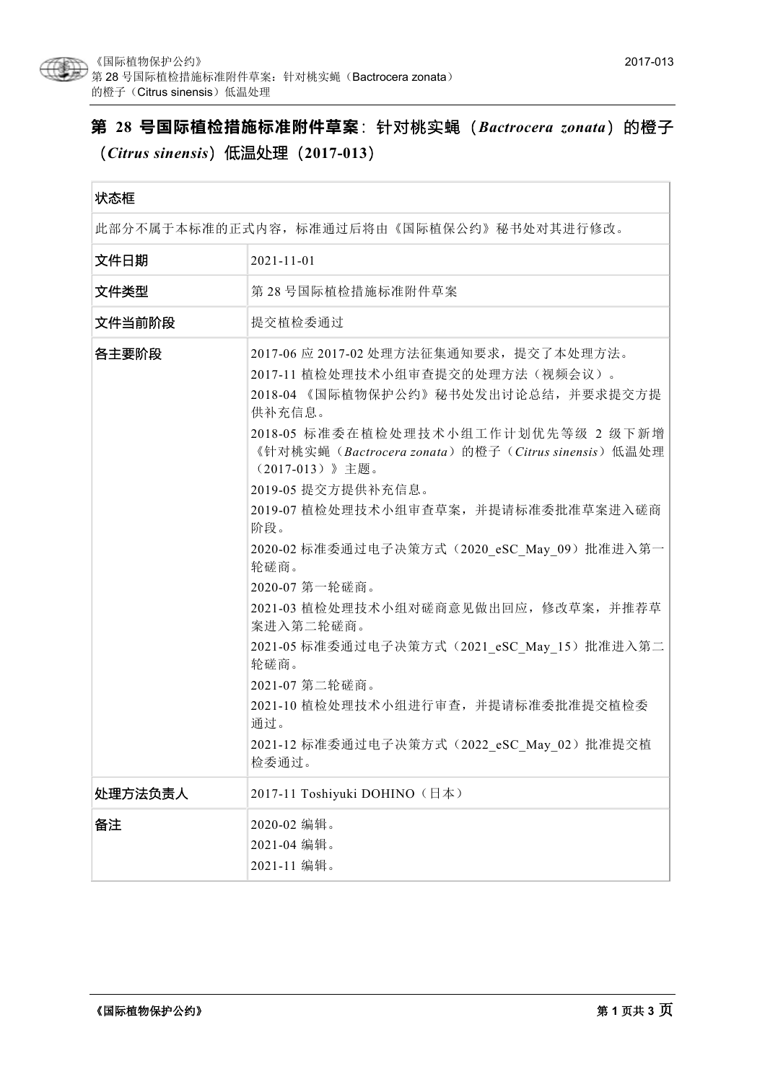

# **第 28 号国际植检措施标准附件草案**:针对桃实蝇(*Bactrocera zonata*)的橙子 (*Citrus sinensis*)低温处理(**2017-013**)

| 状态框                                      |                                                                                                                                                                                                                                                                                                                                                                                                                                                                                                                                                                                                                                  |
|------------------------------------------|----------------------------------------------------------------------------------------------------------------------------------------------------------------------------------------------------------------------------------------------------------------------------------------------------------------------------------------------------------------------------------------------------------------------------------------------------------------------------------------------------------------------------------------------------------------------------------------------------------------------------------|
| 此部分不属于本标准的正式内容,标准通过后将由《国际植保公约》秘书处对其进行修改。 |                                                                                                                                                                                                                                                                                                                                                                                                                                                                                                                                                                                                                                  |
| 文件日期                                     | $2021 - 11 - 01$                                                                                                                                                                                                                                                                                                                                                                                                                                                                                                                                                                                                                 |
| 文件类型                                     | 第28号国际植检措施标准附件草案                                                                                                                                                                                                                                                                                                                                                                                                                                                                                                                                                                                                                 |
| 文件当前阶段                                   | 提交植检委通过                                                                                                                                                                                                                                                                                                                                                                                                                                                                                                                                                                                                                          |
| 各主要阶段                                    | 2017-06 应 2017-02 处理方法征集通知要求, 提交了本处理方法。<br>2017-11 植检处理技术小组审查提交的处理方法(视频会议)。<br>2018-04 《国际植物保护公约》秘书处发出讨论总结, 并要求提交方提<br>供补充信息。<br>2018-05 标准委在植检处理技术小组工作计划优先等级 2 级下新增<br>《针对桃实蝇(Bactrocera zonata)的橙子(Citrus sinensis)低温处理<br>(2017-013)》主题。<br>2019-05 提交方提供补充信息。<br>2019-07 植检处理技术小组审查草案, 并提请标准委批准草案进入磋商<br>阶段。<br>2020-02 标准委通过电子决策方式 (2020 eSC May 09) 批准进入第一<br>轮磋商。<br>2020-07 第一轮磋商。<br>2021-03 植检处理技术小组对磋商意见做出回应, 修改草案, 并推荐草<br>案进入第二轮磋商。<br>2021-05 标准委通过电子决策方式 (2021 eSC May 15) 批准进入第二<br>轮磋商。<br>2021-07 第二轮磋商。<br>2021-10 植检处理技术小组进行审查, 并提请标准委批准提交植检委<br>通过。<br>2021-12 标准委通过电子决策方式 (2022 eSC May 02) 批准提交植<br>检委通过。 |
| 处理方法负责人                                  | 2017-11 Toshiyuki DOHINO (日本)                                                                                                                                                                                                                                                                                                                                                                                                                                                                                                                                                                                                    |
| 备注                                       | 2020-02 编辑。<br>2021-04 编辑。<br>2021-11 编辑。                                                                                                                                                                                                                                                                                                                                                                                                                                                                                                                                                                                        |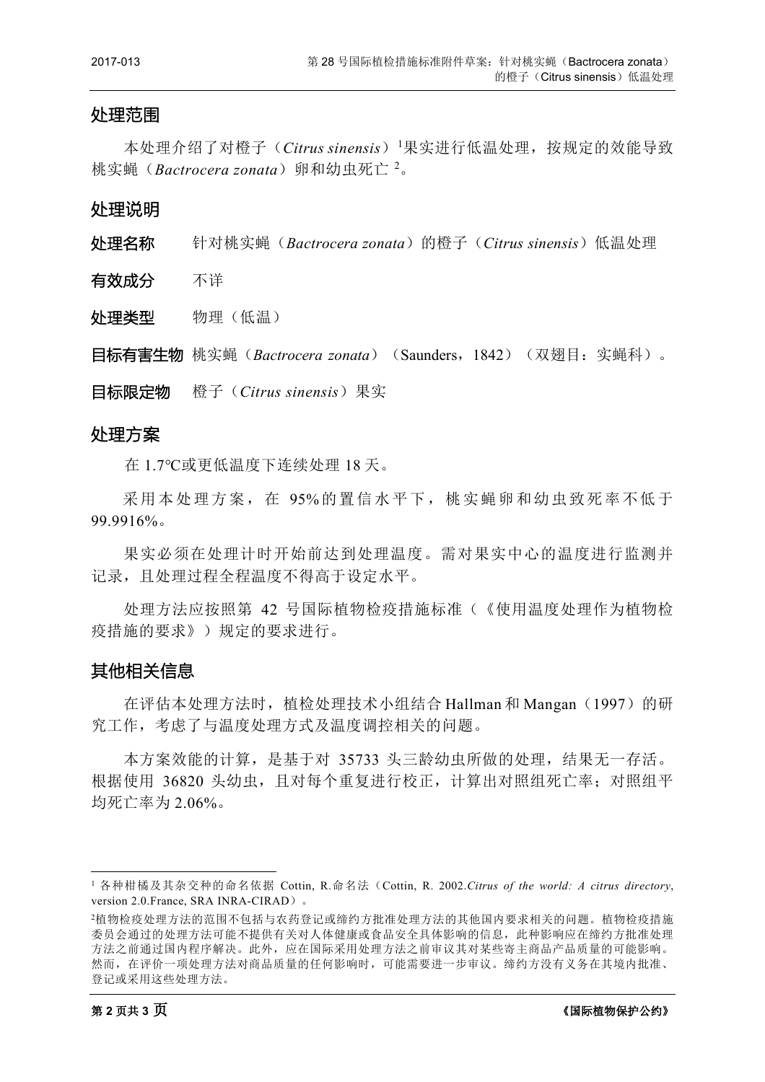#### 处理范围

本处理介绍了对橙子(*Citrus sinensis*)<sup>[1](#page-1-0)</sup>果实进行低温处理,按规定的效能导致 桃实蝇(*Bactrocera zonata*)卵和幼虫死亡 <sup>[2](#page-1-1)</sup>。

处理说明

处理名称 针对桃实蝇(*Bactrocera zonata*)的橙子(*Citrus sinensis*)低温处理

有效成分 不详

外理类型 物理(低温)

**目标有害生物** 桃实蝇 (*Bactrocera zonata*) (Saunders, 1842) (双翅目: 实蝇科)。

目标限定物 橙子(*Citrus sinensis*)果实

#### 处理方案

在 1.7℃或更低温度下连续处理 18 天。

采用本处理方案,在 95%的置信水平下,桃实蝇卵和幼虫致死率不低于 99.9916%。

果实必须在处理计时开始前达到处理温度。需对果实中心的温度进行监测并 记录,且处理过程全程温度不得高于设定水平。

处理方法应按照第 42 号国际植物检疫措施标准(《使用温度处理作为植物检 疫措施的要求》)规定的要求进行。

### 其他相关信息

在评估本处理方法时, 植检处理技术小组结合 Hallman 和 Mangan (1997) 的研 究工作,考虑了与温度处理方式及温度调控相关的问题。

本方案效能的计算,是基于对 35733 头三龄幼虫所做的处理,结果无一存活。 根据使用 36820 头幼虫,且对每个重复进行校正,计算出对照组死亡率;对照组平 均死亡率为 2.06%。

<span id="page-1-0"></span> <sup>1</sup> 各种柑橘及其杂交种的命名依据 Cottin, R.命名法(Cottin, R. 2002.*Citrus of the world: A citrus directory*, version 2.0.France, SRA INRA-CIRAD)。

<span id="page-1-1"></span><sup>2</sup>植物检疫处理方法的范围不包括与农药登记或缔约方批准处理方法的其他国内要求相关的问题。植物检疫措施 委员会通过的处理方法可能不提供有关对人体健康或食品安全具体影响的信息,此种影响应在缔约方批准处理 方法之前通过国内程序解决。此外,应在国际采用处理方法之前审议其对某些寄主商品产品质量的可能影响。 然而,在评价一项处理方法对商品质量的任何影响时,可能需要进一步审议。缔约方没有义务在其境内批准、 登记或采用这些处理方法。